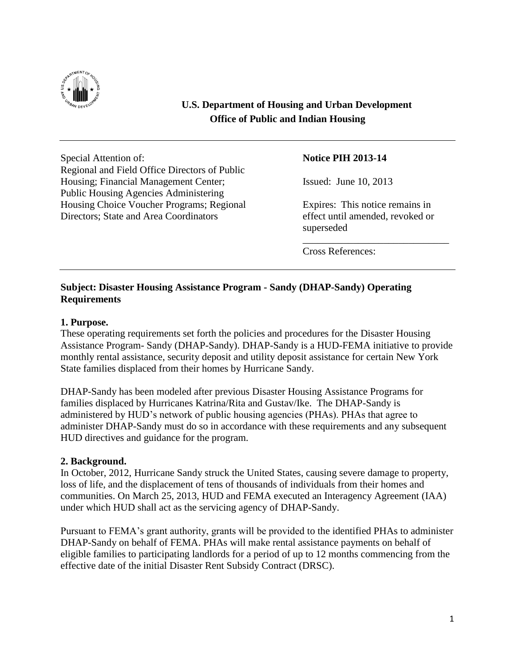

# **U.S. Department of Housing and Urban Development Office of Public and Indian Housing**

Special Attention of: **Notice PIH 2013-14** Regional and Field Office Directors of Public Housing; Financial Management Center; Issued: June 10, 2013 Public Housing Agencies Administering Housing Choice Voucher Programs; Regional Expires: This notice remains in Directors; State and Area Coordinators effect until amended, revoked or

superseded

\_\_\_\_\_\_\_\_\_\_\_\_\_\_\_\_\_\_\_\_\_\_\_\_\_\_\_\_\_

Cross References:

## **Subject: Disaster Housing Assistance Program - Sandy (DHAP-Sandy) Operating Requirements**

#### **1. Purpose.**

These operating requirements set forth the policies and procedures for the Disaster Housing Assistance Program- Sandy (DHAP-Sandy). DHAP-Sandy is a HUD-FEMA initiative to provide monthly rental assistance, security deposit and utility deposit assistance for certain New York State families displaced from their homes by Hurricane Sandy.

DHAP-Sandy has been modeled after previous Disaster Housing Assistance Programs for families displaced by Hurricanes Katrina/Rita and Gustav/Ike. The DHAP-Sandy is administered by HUD's network of public housing agencies (PHAs). PHAs that agree to administer DHAP-Sandy must do so in accordance with these requirements and any subsequent HUD directives and guidance for the program.

#### **2. Background.**

In October, 2012, Hurricane Sandy struck the United States, causing severe damage to property, loss of life, and the displacement of tens of thousands of individuals from their homes and communities. On March 25, 2013, HUD and FEMA executed an Interagency Agreement (IAA) under which HUD shall act as the servicing agency of DHAP-Sandy.

Pursuant to FEMA's grant authority, grants will be provided to the identified PHAs to administer DHAP-Sandy on behalf of FEMA. PHAs will make rental assistance payments on behalf of eligible families to participating landlords for a period of up to 12 months commencing from the effective date of the initial Disaster Rent Subsidy Contract (DRSC).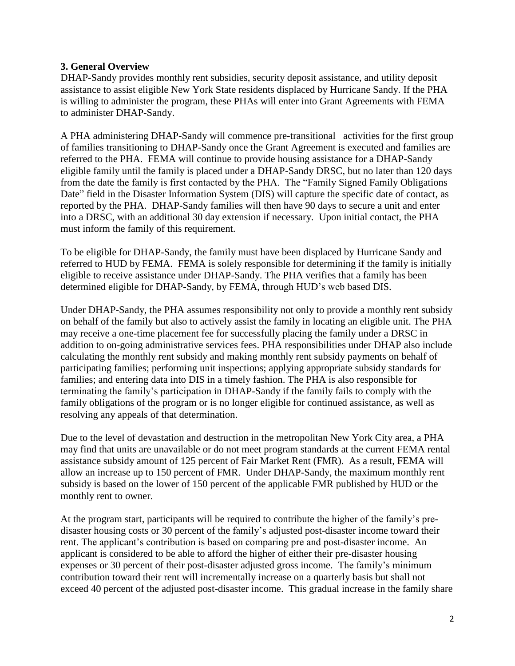## **3. General Overview**

DHAP-Sandy provides monthly rent subsidies, security deposit assistance, and utility deposit assistance to assist eligible New York State residents displaced by Hurricane Sandy. If the PHA is willing to administer the program, these PHAs will enter into Grant Agreements with FEMA to administer DHAP-Sandy.

A PHA administering DHAP-Sandy will commence pre-transitional activities for the first group of families transitioning to DHAP-Sandy once the Grant Agreement is executed and families are referred to the PHA. FEMA will continue to provide housing assistance for a DHAP-Sandy eligible family until the family is placed under a DHAP-Sandy DRSC, but no later than 120 days from the date the family is first contacted by the PHA. The "Family Signed Family Obligations Date" field in the Disaster Information System (DIS) will capture the specific date of contact, as reported by the PHA. DHAP-Sandy families will then have 90 days to secure a unit and enter into a DRSC, with an additional 30 day extension if necessary. Upon initial contact, the PHA must inform the family of this requirement.

To be eligible for DHAP-Sandy, the family must have been displaced by Hurricane Sandy and referred to HUD by FEMA. FEMA is solely responsible for determining if the family is initially eligible to receive assistance under DHAP-Sandy. The PHA verifies that a family has been determined eligible for DHAP-Sandy, by FEMA, through HUD's web based DIS.

Under DHAP-Sandy, the PHA assumes responsibility not only to provide a monthly rent subsidy on behalf of the family but also to actively assist the family in locating an eligible unit. The PHA may receive a one-time placement fee for successfully placing the family under a DRSC in addition to on-going administrative services fees. PHA responsibilities under DHAP also include calculating the monthly rent subsidy and making monthly rent subsidy payments on behalf of participating families; performing unit inspections; applying appropriate subsidy standards for families; and entering data into DIS in a timely fashion. The PHA is also responsible for terminating the family's participation in DHAP-Sandy if the family fails to comply with the family obligations of the program or is no longer eligible for continued assistance, as well as resolving any appeals of that determination.

Due to the level of devastation and destruction in the metropolitan New York City area, a PHA may find that units are unavailable or do not meet program standards at the current FEMA rental assistance subsidy amount of 125 percent of Fair Market Rent (FMR). As a result, FEMA will allow an increase up to 150 percent of FMR. Under DHAP-Sandy, the maximum monthly rent subsidy is based on the lower of 150 percent of the applicable FMR published by HUD or the monthly rent to owner.

At the program start, participants will be required to contribute the higher of the family's predisaster housing costs or 30 percent of the family's adjusted post-disaster income toward their rent. The applicant's contribution is based on comparing pre and post-disaster income. An applicant is considered to be able to afford the higher of either their pre-disaster housing expenses or 30 percent of their post-disaster adjusted gross income. The family's minimum contribution toward their rent will incrementally increase on a quarterly basis but shall not exceed 40 percent of the adjusted post-disaster income. This gradual increase in the family share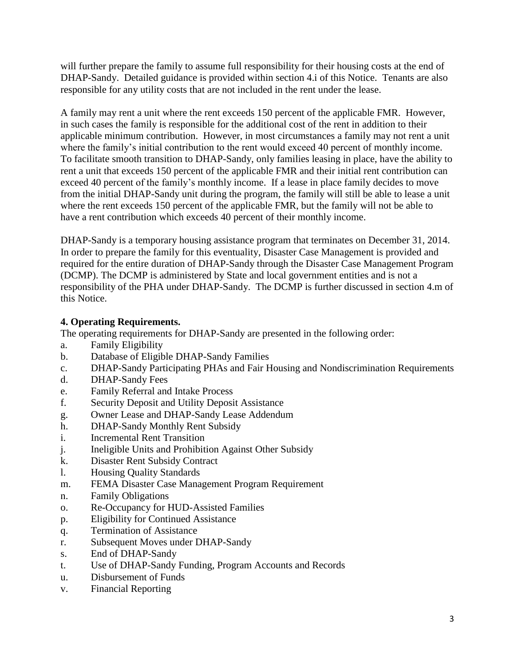will further prepare the family to assume full responsibility for their housing costs at the end of DHAP-Sandy. Detailed guidance is provided within section 4.i of this Notice. Tenants are also responsible for any utility costs that are not included in the rent under the lease.

A family may rent a unit where the rent exceeds 150 percent of the applicable FMR. However, in such cases the family is responsible for the additional cost of the rent in addition to their applicable minimum contribution. However, in most circumstances a family may not rent a unit where the family's initial contribution to the rent would exceed 40 percent of monthly income. To facilitate smooth transition to DHAP-Sandy, only families leasing in place, have the ability to rent a unit that exceeds 150 percent of the applicable FMR and their initial rent contribution can exceed 40 percent of the family's monthly income. If a lease in place family decides to move from the initial DHAP-Sandy unit during the program, the family will still be able to lease a unit where the rent exceeds 150 percent of the applicable FMR, but the family will not be able to have a rent contribution which exceeds 40 percent of their monthly income.

DHAP-Sandy is a temporary housing assistance program that terminates on December 31, 2014. In order to prepare the family for this eventuality, Disaster Case Management is provided and required for the entire duration of DHAP-Sandy through the Disaster Case Management Program (DCMP). The DCMP is administered by State and local government entities and is not a responsibility of the PHA under DHAP-Sandy. The DCMP is further discussed in section 4.m of this Notice.

# **4. Operating Requirements.**

The operating requirements for DHAP-Sandy are presented in the following order:

- a. Family Eligibility
- b. Database of Eligible DHAP-Sandy Families
- c. DHAP-Sandy Participating PHAs and Fair Housing and Nondiscrimination Requirements
- d. DHAP-Sandy Fees
- e. Family Referral and Intake Process
- f. Security Deposit and Utility Deposit Assistance
- g. Owner Lease and DHAP-Sandy Lease Addendum
- h. DHAP-Sandy Monthly Rent Subsidy
- i. Incremental Rent Transition
- j. Ineligible Units and Prohibition Against Other Subsidy
- k. Disaster Rent Subsidy Contract
- l. Housing Quality Standards
- m. FEMA Disaster Case Management Program Requirement
- n. Family Obligations
- o. Re-Occupancy for HUD-Assisted Families
- p. Eligibility for Continued Assistance
- q. Termination of Assistance
- r. Subsequent Moves under DHAP-Sandy
- s. End of DHAP-Sandy
- t. Use of DHAP-Sandy Funding, Program Accounts and Records
- u. Disbursement of Funds
- v. Financial Reporting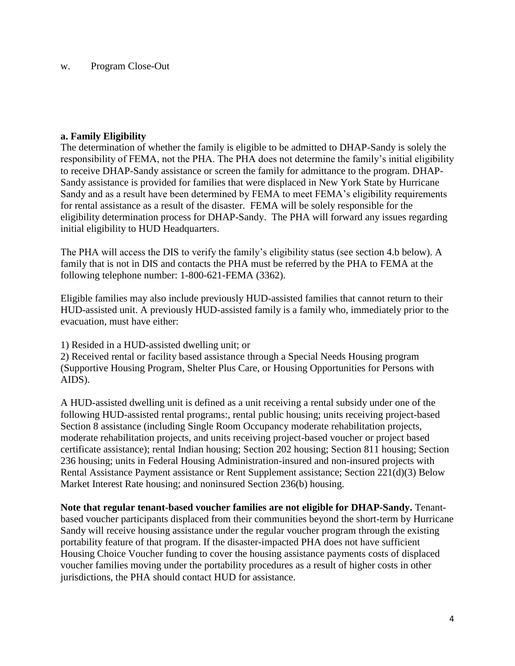#### w. Program Close-Out

#### **a. Family Eligibility**

The determination of whether the family is eligible to be admitted to DHAP-Sandy is solely the responsibility of FEMA, not the PHA. The PHA does not determine the family's initial eligibility to receive DHAP-Sandy assistance or screen the family for admittance to the program. DHAP-Sandy assistance is provided for families that were displaced in New York State by Hurricane Sandy and as a result have been determined by FEMA to meet FEMA's eligibility requirements for rental assistance as a result of the disaster. FEMA will be solely responsible for the eligibility determination process for DHAP-Sandy. The PHA will forward any issues regarding initial eligibility to HUD Headquarters.

The PHA will access the DIS to verify the family's eligibility status (see section 4.b below). A family that is not in DIS and contacts the PHA must be referred by the PHA to FEMA at the following telephone number: 1-800-621-FEMA (3362).

Eligible families may also include previously HUD-assisted families that cannot return to their HUD-assisted unit. A previously HUD-assisted family is a family who, immediately prior to the evacuation, must have either:

1) Resided in a HUD-assisted dwelling unit; or

2) Received rental or facility based assistance through a Special Needs Housing program (Supportive Housing Program, Shelter Plus Care, or Housing Opportunities for Persons with AIDS).

A HUD-assisted dwelling unit is defined as a unit receiving a rental subsidy under one of the following HUD-assisted rental programs:, rental public housing; units receiving project-based Section 8 assistance (including Single Room Occupancy moderate rehabilitation projects, moderate rehabilitation projects, and units receiving project-based voucher or project based certificate assistance); rental Indian housing; Section 202 housing; Section 811 housing; Section 236 housing; units in Federal Housing Administration-insured and non-insured projects with Rental Assistance Payment assistance or Rent Supplement assistance; Section 221(d)(3) Below Market Interest Rate housing; and noninsured Section 236(b) housing.

**Note that regular tenant-based voucher families are not eligible for DHAP-Sandy.** Tenantbased voucher participants displaced from their communities beyond the short-term by Hurricane Sandy will receive housing assistance under the regular voucher program through the existing portability feature of that program. If the disaster-impacted PHA does not have sufficient Housing Choice Voucher funding to cover the housing assistance payments costs of displaced voucher families moving under the portability procedures as a result of higher costs in other jurisdictions, the PHA should contact HUD for assistance.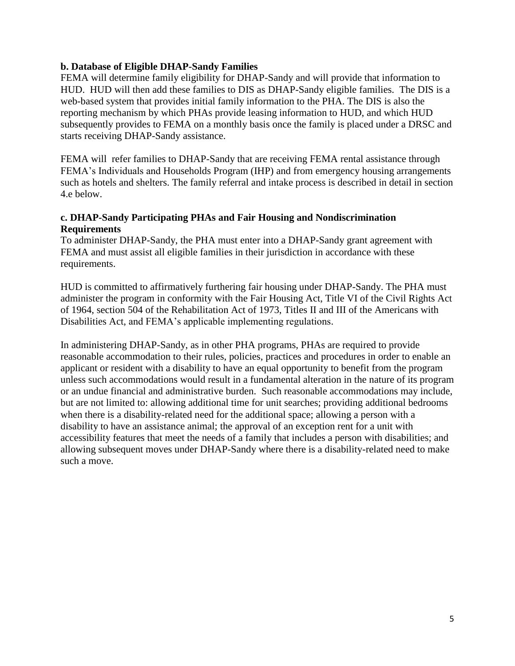## **b. Database of Eligible DHAP-Sandy Families**

FEMA will determine family eligibility for DHAP-Sandy and will provide that information to HUD. HUD will then add these families to DIS as DHAP-Sandy eligible families. The DIS is a web-based system that provides initial family information to the PHA. The DIS is also the reporting mechanism by which PHAs provide leasing information to HUD, and which HUD subsequently provides to FEMA on a monthly basis once the family is placed under a DRSC and starts receiving DHAP-Sandy assistance.

FEMA will refer families to DHAP-Sandy that are receiving FEMA rental assistance through FEMA's Individuals and Households Program (IHP) and from emergency housing arrangements such as hotels and shelters. The family referral and intake process is described in detail in section 4.e below.

## **c. DHAP-Sandy Participating PHAs and Fair Housing and Nondiscrimination Requirements**

To administer DHAP-Sandy, the PHA must enter into a DHAP-Sandy grant agreement with FEMA and must assist all eligible families in their jurisdiction in accordance with these requirements.

HUD is committed to affirmatively furthering fair housing under DHAP-Sandy. The PHA must administer the program in conformity with the Fair Housing Act, Title VI of the Civil Rights Act of 1964, section 504 of the Rehabilitation Act of 1973, Titles II and III of the Americans with Disabilities Act, and FEMA's applicable implementing regulations.

In administering DHAP-Sandy, as in other PHA programs, PHAs are required to provide reasonable accommodation to their rules, policies, practices and procedures in order to enable an applicant or resident with a disability to have an equal opportunity to benefit from the program unless such accommodations would result in a fundamental alteration in the nature of its program or an undue financial and administrative burden. Such reasonable accommodations may include, but are not limited to: allowing additional time for unit searches; providing additional bedrooms when there is a disability-related need for the additional space; allowing a person with a disability to have an assistance animal; the approval of an exception rent for a unit with accessibility features that meet the needs of a family that includes a person with disabilities; and allowing subsequent moves under DHAP-Sandy where there is a disability-related need to make such a move.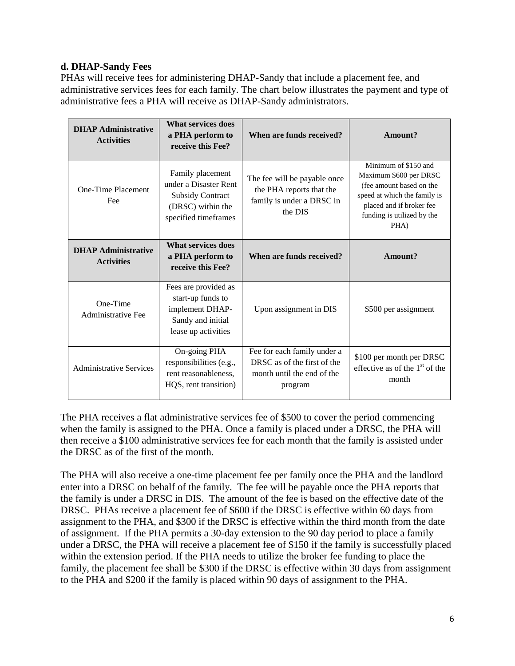# **d. DHAP-Sandy Fees**

PHAs will receive fees for administering DHAP-Sandy that include a placement fee, and administrative services fees for each family. The chart below illustrates the payment and type of administrative fees a PHA will receive as DHAP-Sandy administrators.

| <b>DHAP Administrative</b><br><b>Activities</b> | <b>What services does</b><br>a PHA perform to<br>receive this Fee?                                                | When are funds received?                                                                            | Amount?                                                                                                                                                                      |
|-------------------------------------------------|-------------------------------------------------------------------------------------------------------------------|-----------------------------------------------------------------------------------------------------|------------------------------------------------------------------------------------------------------------------------------------------------------------------------------|
| One-Time Placement<br>Fee                       | Family placement<br>under a Disaster Rent<br><b>Subsidy Contract</b><br>(DRSC) within the<br>specified timeframes | The fee will be payable once<br>the PHA reports that the<br>family is under a DRSC in<br>the DIS    | Minimum of \$150 and<br>Maximum \$600 per DRSC<br>(fee amount based on the<br>speed at which the family is<br>placed and if broker fee<br>funding is utilized by the<br>PHA) |
| <b>DHAP Administrative</b><br><b>Activities</b> | What services does<br>a PHA perform to<br>receive this Fee?                                                       | When are funds received?                                                                            | Amount?                                                                                                                                                                      |
| One-Time<br>Administrative Fee                  | Fees are provided as<br>start-up funds to<br>implement DHAP-<br>Sandy and initial<br>lease up activities          | Upon assignment in DIS                                                                              | \$500 per assignment                                                                                                                                                         |
| <b>Administrative Services</b>                  | On-going PHA<br>responsibilities (e.g.,<br>rent reasonableness,<br>HQS, rent transition)                          | Fee for each family under a<br>DRSC as of the first of the<br>month until the end of the<br>program | \$100 per month per DRSC<br>effective as of the $1st$ of the<br>month                                                                                                        |

The PHA receives a flat administrative services fee of \$500 to cover the period commencing when the family is assigned to the PHA. Once a family is placed under a DRSC, the PHA will then receive a \$100 administrative services fee for each month that the family is assisted under the DRSC as of the first of the month.

The PHA will also receive a one-time placement fee per family once the PHA and the landlord enter into a DRSC on behalf of the family. The fee will be payable once the PHA reports that the family is under a DRSC in DIS. The amount of the fee is based on the effective date of the DRSC. PHAs receive a placement fee of \$600 if the DRSC is effective within 60 days from assignment to the PHA, and \$300 if the DRSC is effective within the third month from the date of assignment. If the PHA permits a 30-day extension to the 90 day period to place a family under a DRSC, the PHA will receive a placement fee of \$150 if the family is successfully placed within the extension period. If the PHA needs to utilize the broker fee funding to place the family, the placement fee shall be \$300 if the DRSC is effective within 30 days from assignment to the PHA and \$200 if the family is placed within 90 days of assignment to the PHA.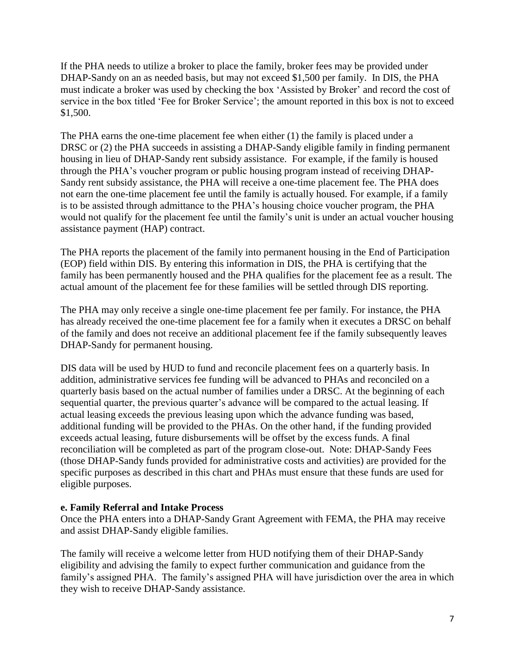If the PHA needs to utilize a broker to place the family, broker fees may be provided under DHAP-Sandy on an as needed basis, but may not exceed \$1,500 per family. In DIS, the PHA must indicate a broker was used by checking the box 'Assisted by Broker' and record the cost of service in the box titled 'Fee for Broker Service'; the amount reported in this box is not to exceed \$1,500.

The PHA earns the one-time placement fee when either (1) the family is placed under a DRSC or (2) the PHA succeeds in assisting a DHAP-Sandy eligible family in finding permanent housing in lieu of DHAP-Sandy rent subsidy assistance. For example, if the family is housed through the PHA's voucher program or public housing program instead of receiving DHAP-Sandy rent subsidy assistance, the PHA will receive a one-time placement fee. The PHA does not earn the one-time placement fee until the family is actually housed. For example, if a family is to be assisted through admittance to the PHA's housing choice voucher program, the PHA would not qualify for the placement fee until the family's unit is under an actual voucher housing assistance payment (HAP) contract.

The PHA reports the placement of the family into permanent housing in the End of Participation (EOP) field within DIS. By entering this information in DIS, the PHA is certifying that the family has been permanently housed and the PHA qualifies for the placement fee as a result. The actual amount of the placement fee for these families will be settled through DIS reporting.

The PHA may only receive a single one-time placement fee per family. For instance, the PHA has already received the one-time placement fee for a family when it executes a DRSC on behalf of the family and does not receive an additional placement fee if the family subsequently leaves DHAP-Sandy for permanent housing.

DIS data will be used by HUD to fund and reconcile placement fees on a quarterly basis. In addition, administrative services fee funding will be advanced to PHAs and reconciled on a quarterly basis based on the actual number of families under a DRSC. At the beginning of each sequential quarter, the previous quarter's advance will be compared to the actual leasing. If actual leasing exceeds the previous leasing upon which the advance funding was based, additional funding will be provided to the PHAs. On the other hand, if the funding provided exceeds actual leasing, future disbursements will be offset by the excess funds. A final reconciliation will be completed as part of the program close-out. Note: DHAP-Sandy Fees (those DHAP-Sandy funds provided for administrative costs and activities) are provided for the specific purposes as described in this chart and PHAs must ensure that these funds are used for eligible purposes.

# **e. Family Referral and Intake Process**

Once the PHA enters into a DHAP-Sandy Grant Agreement with FEMA, the PHA may receive and assist DHAP-Sandy eligible families.

The family will receive a welcome letter from HUD notifying them of their DHAP-Sandy eligibility and advising the family to expect further communication and guidance from the family's assigned PHA. The family's assigned PHA will have jurisdiction over the area in which they wish to receive DHAP-Sandy assistance.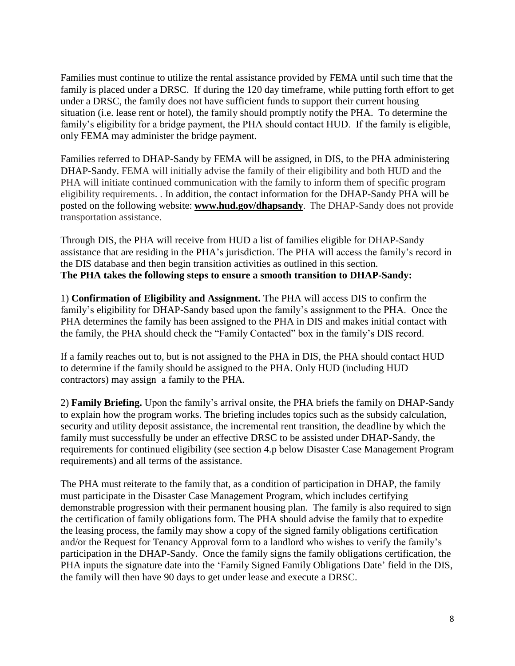Families must continue to utilize the rental assistance provided by FEMA until such time that the family is placed under a DRSC. If during the 120 day timeframe, while putting forth effort to get under a DRSC, the family does not have sufficient funds to support their current housing situation (i.e. lease rent or hotel), the family should promptly notify the PHA. To determine the family's eligibility for a bridge payment, the PHA should contact HUD. If the family is eligible, only FEMA may administer the bridge payment.

Families referred to DHAP-Sandy by FEMA will be assigned, in DIS, to the PHA administering DHAP-Sandy. FEMA will initially advise the family of their eligibility and both HUD and the PHA will initiate continued communication with the family to inform them of specific program eligibility requirements. . In addition, the contact information for the DHAP-Sandy PHA will be posted on the following website: **[www.hud.gov/dhapsandy](http://www.hud.gov/dhapsandy)**.The DHAP-Sandy does not provide transportation assistance.

Through DIS, the PHA will receive from HUD a list of families eligible for DHAP-Sandy assistance that are residing in the PHA's jurisdiction. The PHA will access the family's record in the DIS database and then begin transition activities as outlined in this section. **The PHA takes the following steps to ensure a smooth transition to DHAP-Sandy:**

1) **Confirmation of Eligibility and Assignment.** The PHA will access DIS to confirm the family's eligibility for DHAP-Sandy based upon the family's assignment to the PHA. Once the PHA determines the family has been assigned to the PHA in DIS and makes initial contact with the family, the PHA should check the "Family Contacted" box in the family's DIS record.

If a family reaches out to, but is not assigned to the PHA in DIS, the PHA should contact HUD to determine if the family should be assigned to the PHA. Only HUD (including HUD contractors) may assign a family to the PHA.

2) **Family Briefing.** Upon the family's arrival onsite, the PHA briefs the family on DHAP-Sandy to explain how the program works. The briefing includes topics such as the subsidy calculation, security and utility deposit assistance, the incremental rent transition, the deadline by which the family must successfully be under an effective DRSC to be assisted under DHAP-Sandy, the requirements for continued eligibility (see section 4.p below Disaster Case Management Program requirements) and all terms of the assistance.

The PHA must reiterate to the family that, as a condition of participation in DHAP, the family must participate in the Disaster Case Management Program, which includes certifying demonstrable progression with their permanent housing plan. The family is also required to sign the certification of family obligations form. The PHA should advise the family that to expedite the leasing process, the family may show a copy of the signed family obligations certification and/or the Request for Tenancy Approval form to a landlord who wishes to verify the family's participation in the DHAP-Sandy. Once the family signs the family obligations certification, the PHA inputs the signature date into the 'Family Signed Family Obligations Date' field in the DIS, the family will then have 90 days to get under lease and execute a DRSC.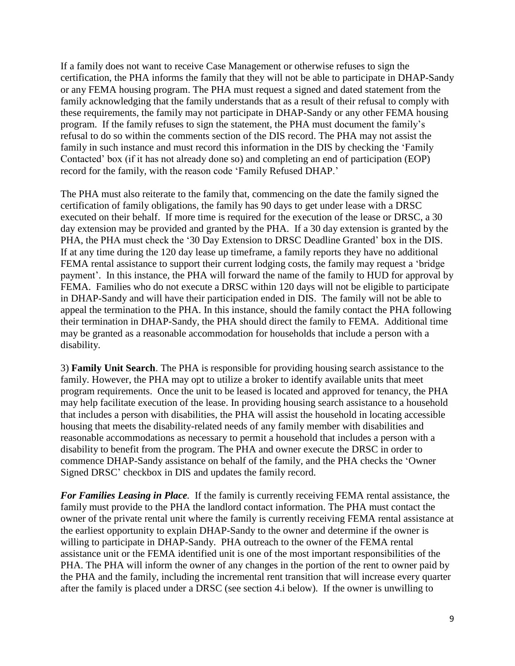If a family does not want to receive Case Management or otherwise refuses to sign the certification, the PHA informs the family that they will not be able to participate in DHAP-Sandy or any FEMA housing program. The PHA must request a signed and dated statement from the family acknowledging that the family understands that as a result of their refusal to comply with these requirements, the family may not participate in DHAP-Sandy or any other FEMA housing program. If the family refuses to sign the statement, the PHA must document the family's refusal to do so within the comments section of the DIS record. The PHA may not assist the family in such instance and must record this information in the DIS by checking the 'Family Contacted' box (if it has not already done so) and completing an end of participation (EOP) record for the family, with the reason code 'Family Refused DHAP.'

The PHA must also reiterate to the family that, commencing on the date the family signed the certification of family obligations, the family has 90 days to get under lease with a DRSC executed on their behalf. If more time is required for the execution of the lease or DRSC, a 30 day extension may be provided and granted by the PHA. If a 30 day extension is granted by the PHA, the PHA must check the '30 Day Extension to DRSC Deadline Granted' box in the DIS. If at any time during the 120 day lease up timeframe, a family reports they have no additional FEMA rental assistance to support their current lodging costs, the family may request a 'bridge payment'. In this instance, the PHA will forward the name of the family to HUD for approval by FEMA. Families who do not execute a DRSC within 120 days will not be eligible to participate in DHAP-Sandy and will have their participation ended in DIS. The family will not be able to appeal the termination to the PHA. In this instance, should the family contact the PHA following their termination in DHAP-Sandy, the PHA should direct the family to FEMA. Additional time may be granted as a reasonable accommodation for households that include a person with a disability.

3) **Family Unit Search**. The PHA is responsible for providing housing search assistance to the family. However, the PHA may opt to utilize a broker to identify available units that meet program requirements. Once the unit to be leased is located and approved for tenancy, the PHA may help facilitate execution of the lease. In providing housing search assistance to a household that includes a person with disabilities, the PHA will assist the household in locating accessible housing that meets the disability-related needs of any family member with disabilities and reasonable accommodations as necessary to permit a household that includes a person with a disability to benefit from the program. The PHA and owner execute the DRSC in order to commence DHAP-Sandy assistance on behalf of the family, and the PHA checks the 'Owner Signed DRSC' checkbox in DIS and updates the family record.

*For Families Leasing in Place.* If the family is currently receiving FEMA rental assistance, the family must provide to the PHA the landlord contact information. The PHA must contact the owner of the private rental unit where the family is currently receiving FEMA rental assistance at the earliest opportunity to explain DHAP-Sandy to the owner and determine if the owner is willing to participate in DHAP-Sandy. PHA outreach to the owner of the FEMA rental assistance unit or the FEMA identified unit is one of the most important responsibilities of the PHA. The PHA will inform the owner of any changes in the portion of the rent to owner paid by the PHA and the family, including the incremental rent transition that will increase every quarter after the family is placed under a DRSC (see section 4.i below). If the owner is unwilling to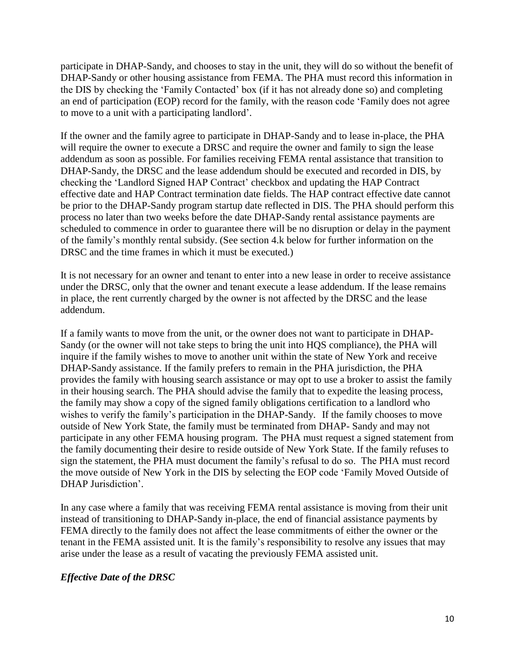participate in DHAP-Sandy, and chooses to stay in the unit, they will do so without the benefit of DHAP-Sandy or other housing assistance from FEMA. The PHA must record this information in the DIS by checking the 'Family Contacted' box (if it has not already done so) and completing an end of participation (EOP) record for the family, with the reason code 'Family does not agree to move to a unit with a participating landlord'.

If the owner and the family agree to participate in DHAP-Sandy and to lease in-place, the PHA will require the owner to execute a DRSC and require the owner and family to sign the lease addendum as soon as possible. For families receiving FEMA rental assistance that transition to DHAP-Sandy, the DRSC and the lease addendum should be executed and recorded in DIS, by checking the 'Landlord Signed HAP Contract' checkbox and updating the HAP Contract effective date and HAP Contract termination date fields. The HAP contract effective date cannot be prior to the DHAP-Sandy program startup date reflected in DIS. The PHA should perform this process no later than two weeks before the date DHAP-Sandy rental assistance payments are scheduled to commence in order to guarantee there will be no disruption or delay in the payment of the family's monthly rental subsidy. (See section 4.k below for further information on the DRSC and the time frames in which it must be executed.)

It is not necessary for an owner and tenant to enter into a new lease in order to receive assistance under the DRSC, only that the owner and tenant execute a lease addendum. If the lease remains in place, the rent currently charged by the owner is not affected by the DRSC and the lease addendum.

If a family wants to move from the unit, or the owner does not want to participate in DHAP-Sandy (or the owner will not take steps to bring the unit into HQS compliance), the PHA will inquire if the family wishes to move to another unit within the state of New York and receive DHAP-Sandy assistance. If the family prefers to remain in the PHA jurisdiction, the PHA provides the family with housing search assistance or may opt to use a broker to assist the family in their housing search. The PHA should advise the family that to expedite the leasing process, the family may show a copy of the signed family obligations certification to a landlord who wishes to verify the family's participation in the DHAP-Sandy. If the family chooses to move outside of New York State, the family must be terminated from DHAP- Sandy and may not participate in any other FEMA housing program. The PHA must request a signed statement from the family documenting their desire to reside outside of New York State. If the family refuses to sign the statement, the PHA must document the family's refusal to do so. The PHA must record the move outside of New York in the DIS by selecting the EOP code 'Family Moved Outside of DHAP Jurisdiction'.

In any case where a family that was receiving FEMA rental assistance is moving from their unit instead of transitioning to DHAP-Sandy in-place, the end of financial assistance payments by FEMA directly to the family does not affect the lease commitments of either the owner or the tenant in the FEMA assisted unit. It is the family's responsibility to resolve any issues that may arise under the lease as a result of vacating the previously FEMA assisted unit.

# *Effective Date of the DRSC*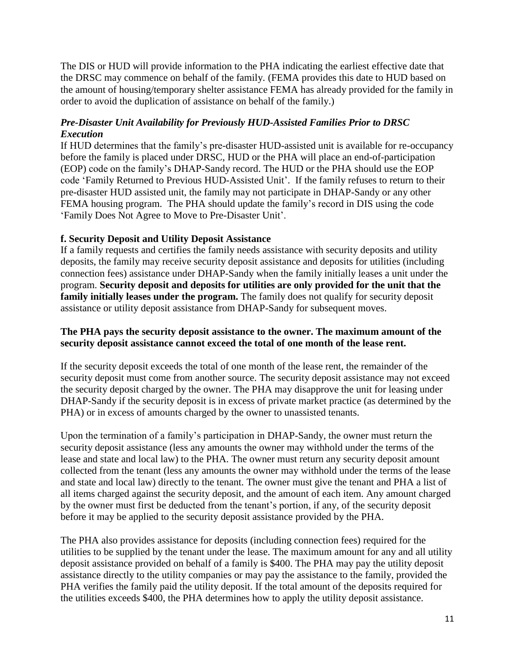The DIS or HUD will provide information to the PHA indicating the earliest effective date that the DRSC may commence on behalf of the family. (FEMA provides this date to HUD based on the amount of housing/temporary shelter assistance FEMA has already provided for the family in order to avoid the duplication of assistance on behalf of the family.)

# *Pre-Disaster Unit Availability for Previously HUD-Assisted Families Prior to DRSC Execution*

If HUD determines that the family's pre-disaster HUD-assisted unit is available for re-occupancy before the family is placed under DRSC, HUD or the PHA will place an end-of-participation (EOP) code on the family's DHAP-Sandy record. The HUD or the PHA should use the EOP code 'Family Returned to Previous HUD-Assisted Unit'. If the family refuses to return to their pre-disaster HUD assisted unit, the family may not participate in DHAP-Sandy or any other FEMA housing program. The PHA should update the family's record in DIS using the code 'Family Does Not Agree to Move to Pre-Disaster Unit'.

# **f. Security Deposit and Utility Deposit Assistance**

If a family requests and certifies the family needs assistance with security deposits and utility deposits, the family may receive security deposit assistance and deposits for utilities (including connection fees) assistance under DHAP-Sandy when the family initially leases a unit under the program. **Security deposit and deposits for utilities are only provided for the unit that the family initially leases under the program.** The family does not qualify for security deposit assistance or utility deposit assistance from DHAP-Sandy for subsequent moves.

## **The PHA pays the security deposit assistance to the owner. The maximum amount of the security deposit assistance cannot exceed the total of one month of the lease rent.**

If the security deposit exceeds the total of one month of the lease rent, the remainder of the security deposit must come from another source. The security deposit assistance may not exceed the security deposit charged by the owner. The PHA may disapprove the unit for leasing under DHAP-Sandy if the security deposit is in excess of private market practice (as determined by the PHA) or in excess of amounts charged by the owner to unassisted tenants.

Upon the termination of a family's participation in DHAP-Sandy, the owner must return the security deposit assistance (less any amounts the owner may withhold under the terms of the lease and state and local law) to the PHA. The owner must return any security deposit amount collected from the tenant (less any amounts the owner may withhold under the terms of the lease and state and local law) directly to the tenant. The owner must give the tenant and PHA a list of all items charged against the security deposit, and the amount of each item. Any amount charged by the owner must first be deducted from the tenant's portion, if any, of the security deposit before it may be applied to the security deposit assistance provided by the PHA.

The PHA also provides assistance for deposits (including connection fees) required for the utilities to be supplied by the tenant under the lease. The maximum amount for any and all utility deposit assistance provided on behalf of a family is \$400. The PHA may pay the utility deposit assistance directly to the utility companies or may pay the assistance to the family, provided the PHA verifies the family paid the utility deposit. If the total amount of the deposits required for the utilities exceeds \$400, the PHA determines how to apply the utility deposit assistance.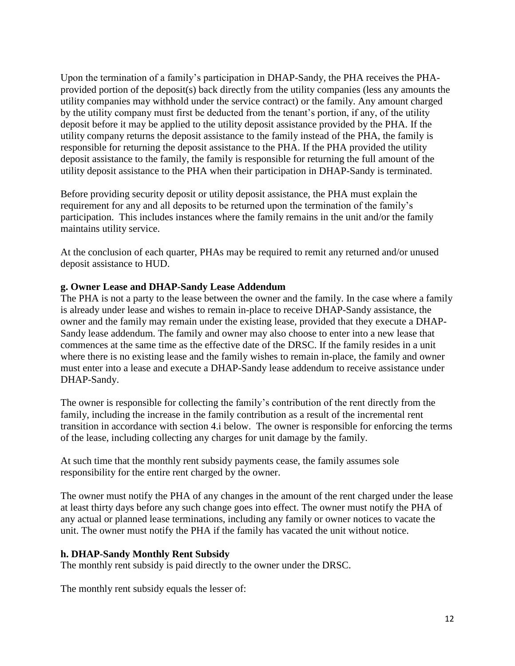Upon the termination of a family's participation in DHAP-Sandy, the PHA receives the PHAprovided portion of the deposit(s) back directly from the utility companies (less any amounts the utility companies may withhold under the service contract) or the family. Any amount charged by the utility company must first be deducted from the tenant's portion, if any, of the utility deposit before it may be applied to the utility deposit assistance provided by the PHA. If the utility company returns the deposit assistance to the family instead of the PHA, the family is responsible for returning the deposit assistance to the PHA. If the PHA provided the utility deposit assistance to the family, the family is responsible for returning the full amount of the utility deposit assistance to the PHA when their participation in DHAP-Sandy is terminated.

Before providing security deposit or utility deposit assistance, the PHA must explain the requirement for any and all deposits to be returned upon the termination of the family's participation. This includes instances where the family remains in the unit and/or the family maintains utility service.

At the conclusion of each quarter, PHAs may be required to remit any returned and/or unused deposit assistance to HUD.

## **g. Owner Lease and DHAP-Sandy Lease Addendum**

The PHA is not a party to the lease between the owner and the family. In the case where a family is already under lease and wishes to remain in-place to receive DHAP-Sandy assistance, the owner and the family may remain under the existing lease, provided that they execute a DHAP-Sandy lease addendum. The family and owner may also choose to enter into a new lease that commences at the same time as the effective date of the DRSC. If the family resides in a unit where there is no existing lease and the family wishes to remain in-place, the family and owner must enter into a lease and execute a DHAP-Sandy lease addendum to receive assistance under DHAP-Sandy.

The owner is responsible for collecting the family's contribution of the rent directly from the family, including the increase in the family contribution as a result of the incremental rent transition in accordance with section 4.i below. The owner is responsible for enforcing the terms of the lease, including collecting any charges for unit damage by the family.

At such time that the monthly rent subsidy payments cease, the family assumes sole responsibility for the entire rent charged by the owner.

The owner must notify the PHA of any changes in the amount of the rent charged under the lease at least thirty days before any such change goes into effect. The owner must notify the PHA of any actual or planned lease terminations, including any family or owner notices to vacate the unit. The owner must notify the PHA if the family has vacated the unit without notice.

#### **h. DHAP-Sandy Monthly Rent Subsidy**

The monthly rent subsidy is paid directly to the owner under the DRSC.

The monthly rent subsidy equals the lesser of: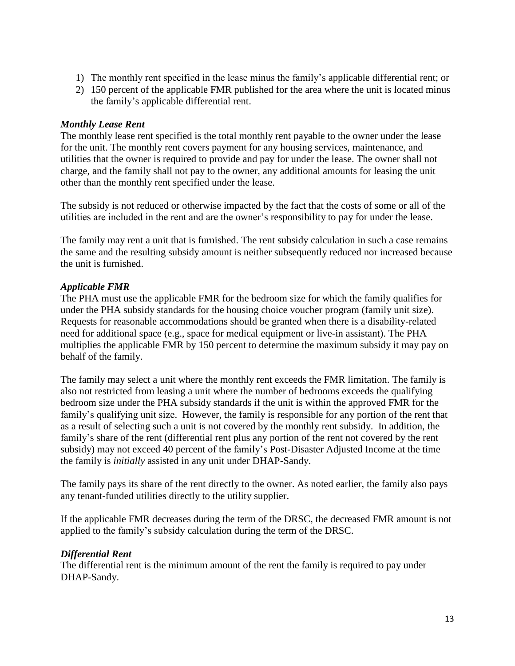- 1) The monthly rent specified in the lease minus the family's applicable differential rent; or
- 2) 150 percent of the applicable FMR published for the area where the unit is located minus the family's applicable differential rent.

#### *Monthly Lease Rent*

The monthly lease rent specified is the total monthly rent payable to the owner under the lease for the unit. The monthly rent covers payment for any housing services, maintenance, and utilities that the owner is required to provide and pay for under the lease. The owner shall not charge, and the family shall not pay to the owner, any additional amounts for leasing the unit other than the monthly rent specified under the lease.

The subsidy is not reduced or otherwise impacted by the fact that the costs of some or all of the utilities are included in the rent and are the owner's responsibility to pay for under the lease.

The family may rent a unit that is furnished. The rent subsidy calculation in such a case remains the same and the resulting subsidy amount is neither subsequently reduced nor increased because the unit is furnished.

#### *Applicable FMR*

The PHA must use the applicable FMR for the bedroom size for which the family qualifies for under the PHA subsidy standards for the housing choice voucher program (family unit size). Requests for reasonable accommodations should be granted when there is a disability-related need for additional space (e.g., space for medical equipment or live-in assistant). The PHA multiplies the applicable FMR by 150 percent to determine the maximum subsidy it may pay on behalf of the family.

The family may select a unit where the monthly rent exceeds the FMR limitation. The family is also not restricted from leasing a unit where the number of bedrooms exceeds the qualifying bedroom size under the PHA subsidy standards if the unit is within the approved FMR for the family's qualifying unit size. However, the family is responsible for any portion of the rent that as a result of selecting such a unit is not covered by the monthly rent subsidy. In addition, the family's share of the rent (differential rent plus any portion of the rent not covered by the rent subsidy) may not exceed 40 percent of the family's Post-Disaster Adjusted Income at the time the family is *initially* assisted in any unit under DHAP-Sandy.

The family pays its share of the rent directly to the owner. As noted earlier, the family also pays any tenant-funded utilities directly to the utility supplier.

If the applicable FMR decreases during the term of the DRSC, the decreased FMR amount is not applied to the family's subsidy calculation during the term of the DRSC.

#### *Differential Rent*

The differential rent is the minimum amount of the rent the family is required to pay under DHAP-Sandy.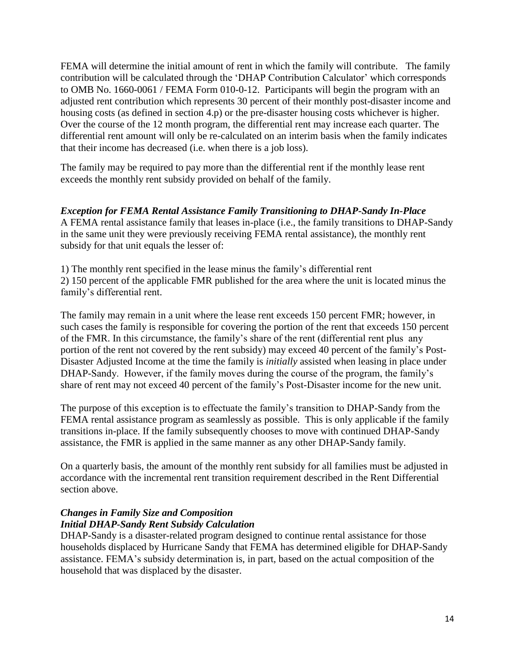FEMA will determine the initial amount of rent in which the family will contribute. The family contribution will be calculated through the 'DHAP Contribution Calculator' which corresponds to OMB No. 1660-0061 / FEMA Form 010-0-12. Participants will begin the program with an adjusted rent contribution which represents 30 percent of their monthly post-disaster income and housing costs (as defined in section 4.p) or the pre-disaster housing costs whichever is higher. Over the course of the 12 month program, the differential rent may increase each quarter. The differential rent amount will only be re-calculated on an interim basis when the family indicates that their income has decreased (i.e. when there is a job loss).

The family may be required to pay more than the differential rent if the monthly lease rent exceeds the monthly rent subsidy provided on behalf of the family.

*Exception for FEMA Rental Assistance Family Transitioning to DHAP-Sandy In-Place*  A FEMA rental assistance family that leases in-place (i.e., the family transitions to DHAP-Sandy in the same unit they were previously receiving FEMA rental assistance), the monthly rent subsidy for that unit equals the lesser of:

1) The monthly rent specified in the lease minus the family's differential rent 2) 150 percent of the applicable FMR published for the area where the unit is located minus the family's differential rent.

The family may remain in a unit where the lease rent exceeds 150 percent FMR; however, in such cases the family is responsible for covering the portion of the rent that exceeds 150 percent of the FMR. In this circumstance, the family's share of the rent (differential rent plus any portion of the rent not covered by the rent subsidy) may exceed 40 percent of the family's Post-Disaster Adjusted Income at the time the family is *initially* assisted when leasing in place under DHAP-Sandy. However, if the family moves during the course of the program, the family's share of rent may not exceed 40 percent of the family's Post-Disaster income for the new unit.

The purpose of this exception is to effectuate the family's transition to DHAP-Sandy from the FEMA rental assistance program as seamlessly as possible. This is only applicable if the family transitions in-place. If the family subsequently chooses to move with continued DHAP-Sandy assistance, the FMR is applied in the same manner as any other DHAP-Sandy family.

On a quarterly basis, the amount of the monthly rent subsidy for all families must be adjusted in accordance with the incremental rent transition requirement described in the Rent Differential section above.

## *Changes in Family Size and Composition Initial DHAP-Sandy Rent Subsidy Calculation*

DHAP-Sandy is a disaster-related program designed to continue rental assistance for those households displaced by Hurricane Sandy that FEMA has determined eligible for DHAP-Sandy assistance. FEMA's subsidy determination is, in part, based on the actual composition of the household that was displaced by the disaster.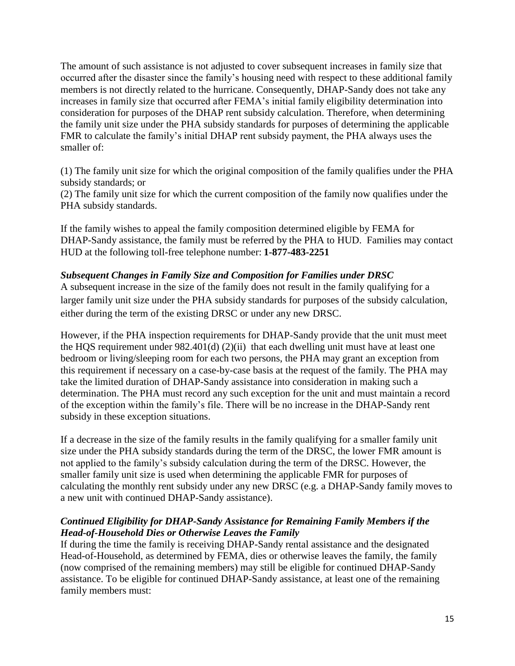The amount of such assistance is not adjusted to cover subsequent increases in family size that occurred after the disaster since the family's housing need with respect to these additional family members is not directly related to the hurricane. Consequently, DHAP-Sandy does not take any increases in family size that occurred after FEMA's initial family eligibility determination into consideration for purposes of the DHAP rent subsidy calculation. Therefore, when determining the family unit size under the PHA subsidy standards for purposes of determining the applicable FMR to calculate the family's initial DHAP rent subsidy payment, the PHA always uses the smaller of:

(1) The family unit size for which the original composition of the family qualifies under the PHA subsidy standards; or

(2) The family unit size for which the current composition of the family now qualifies under the PHA subsidy standards.

If the family wishes to appeal the family composition determined eligible by FEMA for DHAP-Sandy assistance, the family must be referred by the PHA to HUD. Families may contact HUD at the following toll-free telephone number: **1-877-483-2251**

## *Subsequent Changes in Family Size and Composition for Families under DRSC*

A subsequent increase in the size of the family does not result in the family qualifying for a larger family unit size under the PHA subsidy standards for purposes of the subsidy calculation, either during the term of the existing DRSC or under any new DRSC.

However, if the PHA inspection requirements for DHAP-Sandy provide that the unit must meet the HQS requirement under  $982.401(d)$  (2)(ii) that each dwelling unit must have at least one bedroom or living/sleeping room for each two persons, the PHA may grant an exception from this requirement if necessary on a case-by-case basis at the request of the family. The PHA may take the limited duration of DHAP-Sandy assistance into consideration in making such a determination. The PHA must record any such exception for the unit and must maintain a record of the exception within the family's file. There will be no increase in the DHAP-Sandy rent subsidy in these exception situations.

If a decrease in the size of the family results in the family qualifying for a smaller family unit size under the PHA subsidy standards during the term of the DRSC, the lower FMR amount is not applied to the family's subsidy calculation during the term of the DRSC. However, the smaller family unit size is used when determining the applicable FMR for purposes of calculating the monthly rent subsidy under any new DRSC (e.g. a DHAP-Sandy family moves to a new unit with continued DHAP-Sandy assistance).

## *Continued Eligibility for DHAP-Sandy Assistance for Remaining Family Members if the Head-of-Household Dies or Otherwise Leaves the Family*

If during the time the family is receiving DHAP-Sandy rental assistance and the designated Head-of-Household, as determined by FEMA, dies or otherwise leaves the family, the family (now comprised of the remaining members) may still be eligible for continued DHAP-Sandy assistance. To be eligible for continued DHAP-Sandy assistance, at least one of the remaining family members must: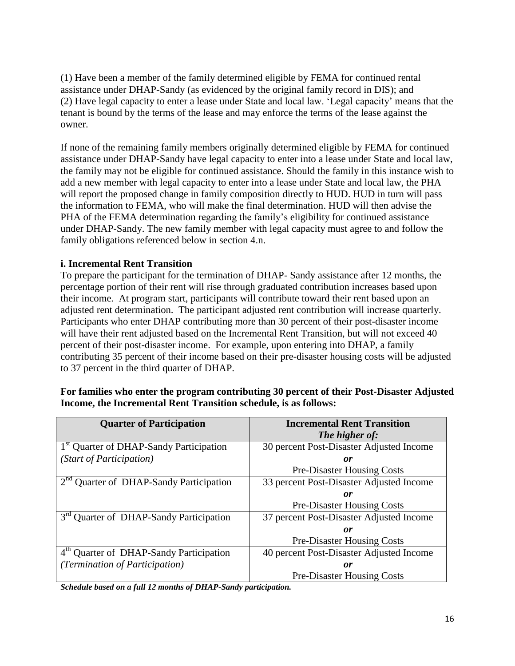(1) Have been a member of the family determined eligible by FEMA for continued rental assistance under DHAP-Sandy (as evidenced by the original family record in DIS); and (2) Have legal capacity to enter a lease under State and local law. 'Legal capacity' means that the tenant is bound by the terms of the lease and may enforce the terms of the lease against the owner.

If none of the remaining family members originally determined eligible by FEMA for continued assistance under DHAP-Sandy have legal capacity to enter into a lease under State and local law, the family may not be eligible for continued assistance. Should the family in this instance wish to add a new member with legal capacity to enter into a lease under State and local law, the PHA will report the proposed change in family composition directly to HUD. HUD in turn will pass the information to FEMA, who will make the final determination. HUD will then advise the PHA of the FEMA determination regarding the family's eligibility for continued assistance under DHAP-Sandy. The new family member with legal capacity must agree to and follow the family obligations referenced below in section 4.n.

# **i. Incremental Rent Transition**

To prepare the participant for the termination of DHAP- Sandy assistance after 12 months, the percentage portion of their rent will rise through graduated contribution increases based upon their income. At program start, participants will contribute toward their rent based upon an adjusted rent determination. The participant adjusted rent contribution will increase quarterly. Participants who enter DHAP contributing more than 30 percent of their post-disaster income will have their rent adjusted based on the Incremental Rent Transition, but will not exceed 40 percent of their post-disaster income. For example, upon entering into DHAP, a family contributing 35 percent of their income based on their pre-disaster housing costs will be adjusted to 37 percent in the third quarter of DHAP.

# **For families who enter the program contributing 30 percent of their Post-Disaster Adjusted Income, the Incremental Rent Transition schedule, is as follows:**

| <b>Quarter of Participation</b>                     | <b>Incremental Rent Transition</b>       |  |
|-----------------------------------------------------|------------------------------------------|--|
|                                                     | The higher of:                           |  |
| 1 <sup>st</sup> Quarter of DHAP-Sandy Participation | 30 percent Post-Disaster Adjusted Income |  |
| (Start of Participation)                            | 0r                                       |  |
|                                                     | <b>Pre-Disaster Housing Costs</b>        |  |
| 2 <sup>nd</sup> Quarter of DHAP-Sandy Participation | 33 percent Post-Disaster Adjusted Income |  |
|                                                     | 0r                                       |  |
|                                                     | <b>Pre-Disaster Housing Costs</b>        |  |
| 3 <sup>rd</sup> Quarter of DHAP-Sandy Participation | 37 percent Post-Disaster Adjusted Income |  |
|                                                     | or                                       |  |
|                                                     | <b>Pre-Disaster Housing Costs</b>        |  |
| 4th Quarter of DHAP-Sandy Participation             | 40 percent Post-Disaster Adjusted Income |  |
| (Termination of Participation)                      | 0r                                       |  |
|                                                     | <b>Pre-Disaster Housing Costs</b>        |  |

*Schedule based on a full 12 months of DHAP-Sandy participation.*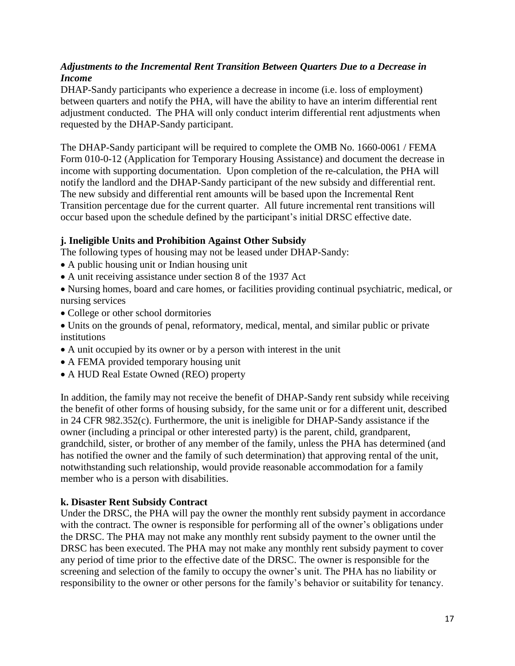# *Adjustments to the Incremental Rent Transition Between Quarters Due to a Decrease in Income*

DHAP-Sandy participants who experience a decrease in income (i.e. loss of employment) between quarters and notify the PHA, will have the ability to have an interim differential rent adjustment conducted. The PHA will only conduct interim differential rent adjustments when requested by the DHAP-Sandy participant.

The DHAP-Sandy participant will be required to complete the OMB No. 1660-0061 / FEMA Form 010-0-12 (Application for Temporary Housing Assistance) and document the decrease in income with supporting documentation. Upon completion of the re-calculation, the PHA will notify the landlord and the DHAP-Sandy participant of the new subsidy and differential rent. The new subsidy and differential rent amounts will be based upon the Incremental Rent Transition percentage due for the current quarter. All future incremental rent transitions will occur based upon the schedule defined by the participant's initial DRSC effective date.

# **j. Ineligible Units and Prohibition Against Other Subsidy**

The following types of housing may not be leased under DHAP-Sandy:

- A public housing unit or Indian housing unit
- A unit receiving assistance under section 8 of the 1937 Act
- Nursing homes, board and care homes, or facilities providing continual psychiatric, medical, or nursing services
- College or other school dormitories
- Units on the grounds of penal, reformatory, medical, mental, and similar public or private institutions
- A unit occupied by its owner or by a person with interest in the unit
- A FEMA provided temporary housing unit
- A HUD Real Estate Owned (REO) property

In addition, the family may not receive the benefit of DHAP-Sandy rent subsidy while receiving the benefit of other forms of housing subsidy, for the same unit or for a different unit, described in 24 CFR 982.352(c). Furthermore, the unit is ineligible for DHAP-Sandy assistance if the owner (including a principal or other interested party) is the parent, child, grandparent, grandchild, sister, or brother of any member of the family, unless the PHA has determined (and has notified the owner and the family of such determination) that approving rental of the unit, notwithstanding such relationship, would provide reasonable accommodation for a family member who is a person with disabilities.

# **k. Disaster Rent Subsidy Contract**

Under the DRSC, the PHA will pay the owner the monthly rent subsidy payment in accordance with the contract. The owner is responsible for performing all of the owner's obligations under the DRSC. The PHA may not make any monthly rent subsidy payment to the owner until the DRSC has been executed. The PHA may not make any monthly rent subsidy payment to cover any period of time prior to the effective date of the DRSC. The owner is responsible for the screening and selection of the family to occupy the owner's unit. The PHA has no liability or responsibility to the owner or other persons for the family's behavior or suitability for tenancy.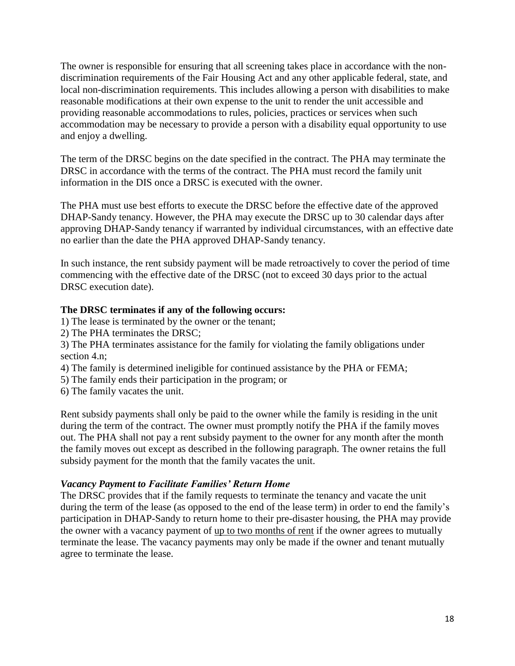The owner is responsible for ensuring that all screening takes place in accordance with the nondiscrimination requirements of the Fair Housing Act and any other applicable federal, state, and local non-discrimination requirements. This includes allowing a person with disabilities to make reasonable modifications at their own expense to the unit to render the unit accessible and providing reasonable accommodations to rules, policies, practices or services when such accommodation may be necessary to provide a person with a disability equal opportunity to use and enjoy a dwelling.

The term of the DRSC begins on the date specified in the contract. The PHA may terminate the DRSC in accordance with the terms of the contract. The PHA must record the family unit information in the DIS once a DRSC is executed with the owner.

The PHA must use best efforts to execute the DRSC before the effective date of the approved DHAP-Sandy tenancy. However, the PHA may execute the DRSC up to 30 calendar days after approving DHAP-Sandy tenancy if warranted by individual circumstances, with an effective date no earlier than the date the PHA approved DHAP-Sandy tenancy.

In such instance, the rent subsidy payment will be made retroactively to cover the period of time commencing with the effective date of the DRSC (not to exceed 30 days prior to the actual DRSC execution date).

# **The DRSC terminates if any of the following occurs:**

- 1) The lease is terminated by the owner or the tenant;
- 2) The PHA terminates the DRSC;
- 3) The PHA terminates assistance for the family for violating the family obligations under section 4.n;
- 4) The family is determined ineligible for continued assistance by the PHA or FEMA;
- 5) The family ends their participation in the program; or
- 6) The family vacates the unit.

Rent subsidy payments shall only be paid to the owner while the family is residing in the unit during the term of the contract. The owner must promptly notify the PHA if the family moves out. The PHA shall not pay a rent subsidy payment to the owner for any month after the month the family moves out except as described in the following paragraph. The owner retains the full subsidy payment for the month that the family vacates the unit.

# *Vacancy Payment to Facilitate Families' Return Home*

The DRSC provides that if the family requests to terminate the tenancy and vacate the unit during the term of the lease (as opposed to the end of the lease term) in order to end the family's participation in DHAP-Sandy to return home to their pre-disaster housing, the PHA may provide the owner with a vacancy payment of up to two months of rent if the owner agrees to mutually terminate the lease. The vacancy payments may only be made if the owner and tenant mutually agree to terminate the lease.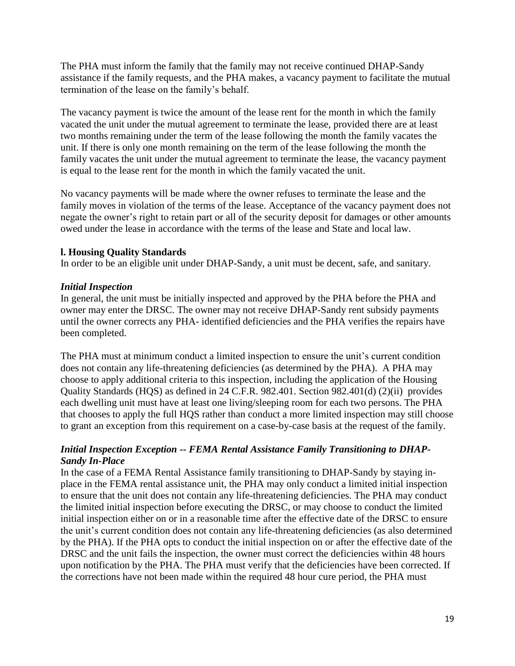The PHA must inform the family that the family may not receive continued DHAP-Sandy assistance if the family requests, and the PHA makes, a vacancy payment to facilitate the mutual termination of the lease on the family's behalf.

The vacancy payment is twice the amount of the lease rent for the month in which the family vacated the unit under the mutual agreement to terminate the lease, provided there are at least two months remaining under the term of the lease following the month the family vacates the unit. If there is only one month remaining on the term of the lease following the month the family vacates the unit under the mutual agreement to terminate the lease, the vacancy payment is equal to the lease rent for the month in which the family vacated the unit.

No vacancy payments will be made where the owner refuses to terminate the lease and the family moves in violation of the terms of the lease. Acceptance of the vacancy payment does not negate the owner's right to retain part or all of the security deposit for damages or other amounts owed under the lease in accordance with the terms of the lease and State and local law.

## **l. Housing Quality Standards**

In order to be an eligible unit under DHAP-Sandy, a unit must be decent, safe, and sanitary.

## *Initial Inspection*

In general, the unit must be initially inspected and approved by the PHA before the PHA and owner may enter the DRSC. The owner may not receive DHAP-Sandy rent subsidy payments until the owner corrects any PHA- identified deficiencies and the PHA verifies the repairs have been completed.

The PHA must at minimum conduct a limited inspection to ensure the unit's current condition does not contain any life-threatening deficiencies (as determined by the PHA). A PHA may choose to apply additional criteria to this inspection, including the application of the Housing Quality Standards (HQS) as defined in 24 C.F.R. 982.401. Section 982.401(d) (2)(ii) provides each dwelling unit must have at least one living/sleeping room for each two persons. The PHA that chooses to apply the full HQS rather than conduct a more limited inspection may still choose to grant an exception from this requirement on a case-by-case basis at the request of the family.

## *Initial Inspection Exception -- FEMA Rental Assistance Family Transitioning to DHAP-Sandy In-Place*

In the case of a FEMA Rental Assistance family transitioning to DHAP-Sandy by staying inplace in the FEMA rental assistance unit, the PHA may only conduct a limited initial inspection to ensure that the unit does not contain any life-threatening deficiencies. The PHA may conduct the limited initial inspection before executing the DRSC, or may choose to conduct the limited initial inspection either on or in a reasonable time after the effective date of the DRSC to ensure the unit's current condition does not contain any life-threatening deficiencies (as also determined by the PHA). If the PHA opts to conduct the initial inspection on or after the effective date of the DRSC and the unit fails the inspection, the owner must correct the deficiencies within 48 hours upon notification by the PHA. The PHA must verify that the deficiencies have been corrected. If the corrections have not been made within the required 48 hour cure period, the PHA must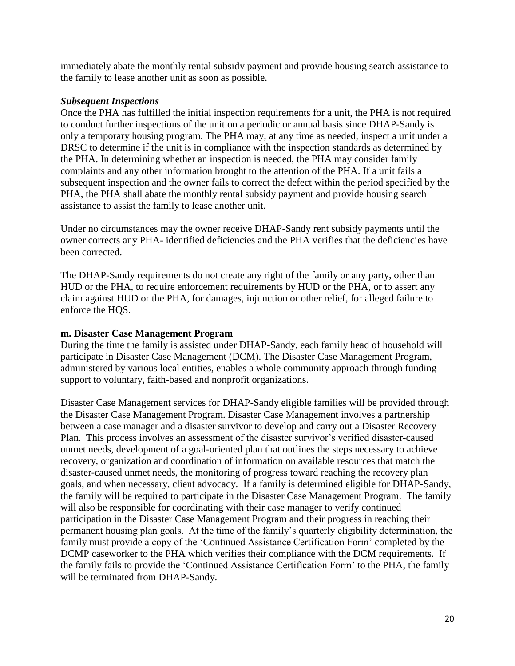immediately abate the monthly rental subsidy payment and provide housing search assistance to the family to lease another unit as soon as possible.

#### *Subsequent Inspections*

Once the PHA has fulfilled the initial inspection requirements for a unit, the PHA is not required to conduct further inspections of the unit on a periodic or annual basis since DHAP-Sandy is only a temporary housing program. The PHA may, at any time as needed, inspect a unit under a DRSC to determine if the unit is in compliance with the inspection standards as determined by the PHA. In determining whether an inspection is needed, the PHA may consider family complaints and any other information brought to the attention of the PHA. If a unit fails a subsequent inspection and the owner fails to correct the defect within the period specified by the PHA, the PHA shall abate the monthly rental subsidy payment and provide housing search assistance to assist the family to lease another unit.

Under no circumstances may the owner receive DHAP-Sandy rent subsidy payments until the owner corrects any PHA- identified deficiencies and the PHA verifies that the deficiencies have been corrected.

The DHAP-Sandy requirements do not create any right of the family or any party, other than HUD or the PHA, to require enforcement requirements by HUD or the PHA, or to assert any claim against HUD or the PHA, for damages, injunction or other relief, for alleged failure to enforce the HQS.

#### **m. Disaster Case Management Program**

During the time the family is assisted under DHAP-Sandy, each family head of household will participate in Disaster Case Management (DCM). The Disaster Case Management Program, administered by various local entities, enables a whole community approach through funding support to voluntary, faith-based and nonprofit organizations.

Disaster Case Management services for DHAP-Sandy eligible families will be provided through the Disaster Case Management Program. Disaster Case Management involves a partnership between a case manager and a disaster survivor to develop and carry out a Disaster Recovery Plan. This process involves an assessment of the disaster survivor's verified disaster-caused unmet needs, development of a goal-oriented plan that outlines the steps necessary to achieve recovery, organization and coordination of information on available resources that match the disaster-caused unmet needs, the monitoring of progress toward reaching the recovery plan goals, and when necessary, client advocacy. If a family is determined eligible for DHAP-Sandy, the family will be required to participate in the Disaster Case Management Program. The family will also be responsible for coordinating with their case manager to verify continued participation in the Disaster Case Management Program and their progress in reaching their permanent housing plan goals. At the time of the family's quarterly eligibility determination, the family must provide a copy of the 'Continued Assistance Certification Form' completed by the DCMP caseworker to the PHA which verifies their compliance with the DCM requirements. If the family fails to provide the 'Continued Assistance Certification Form' to the PHA, the family will be terminated from DHAP-Sandy.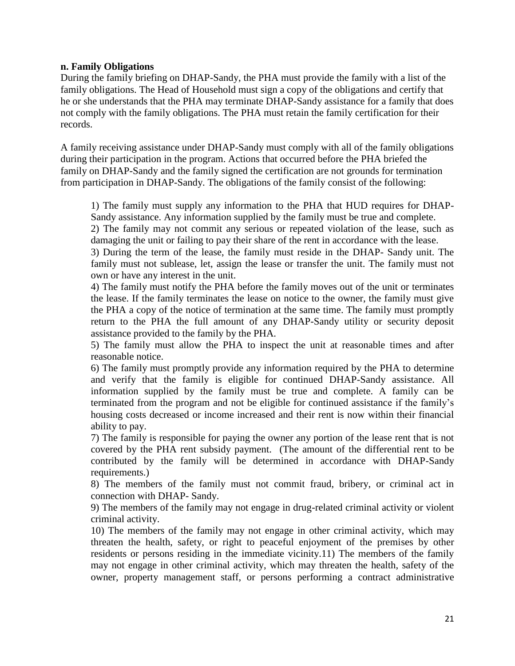#### **n. Family Obligations**

During the family briefing on DHAP-Sandy, the PHA must provide the family with a list of the family obligations. The Head of Household must sign a copy of the obligations and certify that he or she understands that the PHA may terminate DHAP-Sandy assistance for a family that does not comply with the family obligations. The PHA must retain the family certification for their records.

A family receiving assistance under DHAP-Sandy must comply with all of the family obligations during their participation in the program. Actions that occurred before the PHA briefed the family on DHAP-Sandy and the family signed the certification are not grounds for termination from participation in DHAP-Sandy. The obligations of the family consist of the following:

1) The family must supply any information to the PHA that HUD requires for DHAP-Sandy assistance. Any information supplied by the family must be true and complete.

2) The family may not commit any serious or repeated violation of the lease, such as damaging the unit or failing to pay their share of the rent in accordance with the lease.

3) During the term of the lease, the family must reside in the DHAP- Sandy unit. The family must not sublease, let, assign the lease or transfer the unit. The family must not own or have any interest in the unit.

4) The family must notify the PHA before the family moves out of the unit or terminates the lease. If the family terminates the lease on notice to the owner, the family must give the PHA a copy of the notice of termination at the same time. The family must promptly return to the PHA the full amount of any DHAP-Sandy utility or security deposit assistance provided to the family by the PHA.

5) The family must allow the PHA to inspect the unit at reasonable times and after reasonable notice.

6) The family must promptly provide any information required by the PHA to determine and verify that the family is eligible for continued DHAP-Sandy assistance. All information supplied by the family must be true and complete. A family can be terminated from the program and not be eligible for continued assistance if the family's housing costs decreased or income increased and their rent is now within their financial ability to pay.

7) The family is responsible for paying the owner any portion of the lease rent that is not covered by the PHA rent subsidy payment. (The amount of the differential rent to be contributed by the family will be determined in accordance with DHAP-Sandy requirements.)

8) The members of the family must not commit fraud, bribery, or criminal act in connection with DHAP- Sandy.

9) The members of the family may not engage in drug-related criminal activity or violent criminal activity.

10) The members of the family may not engage in other criminal activity, which may threaten the health, safety, or right to peaceful enjoyment of the premises by other residents or persons residing in the immediate vicinity.11) The members of the family may not engage in other criminal activity, which may threaten the health, safety of the owner, property management staff, or persons performing a contract administrative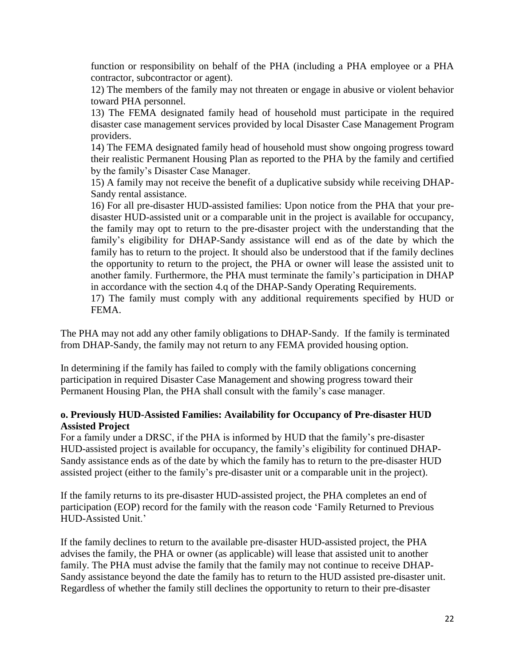function or responsibility on behalf of the PHA (including a PHA employee or a PHA contractor, subcontractor or agent).

12) The members of the family may not threaten or engage in abusive or violent behavior toward PHA personnel.

13) The FEMA designated family head of household must participate in the required disaster case management services provided by local Disaster Case Management Program providers.

14) The FEMA designated family head of household must show ongoing progress toward their realistic Permanent Housing Plan as reported to the PHA by the family and certified by the family's Disaster Case Manager.

15) A family may not receive the benefit of a duplicative subsidy while receiving DHAP-Sandy rental assistance.

16) For all pre-disaster HUD-assisted families: Upon notice from the PHA that your predisaster HUD-assisted unit or a comparable unit in the project is available for occupancy, the family may opt to return to the pre-disaster project with the understanding that the family's eligibility for DHAP-Sandy assistance will end as of the date by which the family has to return to the project. It should also be understood that if the family declines the opportunity to return to the project, the PHA or owner will lease the assisted unit to another family. Furthermore, the PHA must terminate the family's participation in DHAP in accordance with the section 4.q of the DHAP-Sandy Operating Requirements.

17) The family must comply with any additional requirements specified by HUD or FEMA.

The PHA may not add any other family obligations to DHAP-Sandy. If the family is terminated from DHAP-Sandy, the family may not return to any FEMA provided housing option.

In determining if the family has failed to comply with the family obligations concerning participation in required Disaster Case Management and showing progress toward their Permanent Housing Plan, the PHA shall consult with the family's case manager.

## **o. Previously HUD-Assisted Families: Availability for Occupancy of Pre-disaster HUD Assisted Project**

For a family under a DRSC, if the PHA is informed by HUD that the family's pre-disaster HUD-assisted project is available for occupancy, the family's eligibility for continued DHAP-Sandy assistance ends as of the date by which the family has to return to the pre-disaster HUD assisted project (either to the family's pre-disaster unit or a comparable unit in the project).

If the family returns to its pre-disaster HUD-assisted project, the PHA completes an end of participation (EOP) record for the family with the reason code 'Family Returned to Previous HUD-Assisted Unit.'

If the family declines to return to the available pre-disaster HUD-assisted project, the PHA advises the family, the PHA or owner (as applicable) will lease that assisted unit to another family. The PHA must advise the family that the family may not continue to receive DHAP-Sandy assistance beyond the date the family has to return to the HUD assisted pre-disaster unit. Regardless of whether the family still declines the opportunity to return to their pre-disaster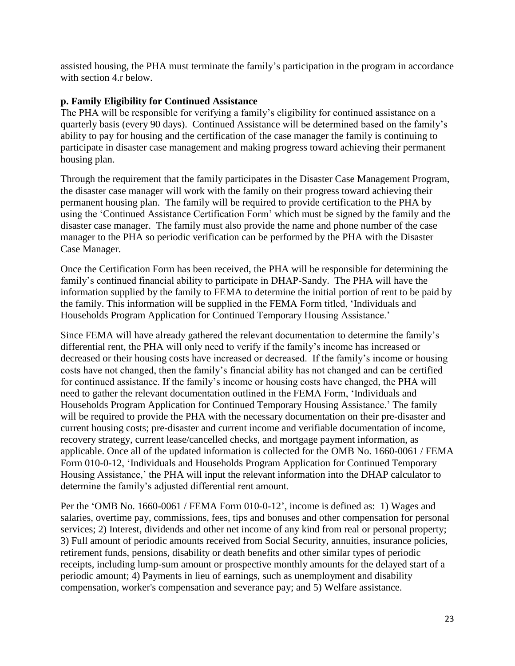assisted housing, the PHA must terminate the family's participation in the program in accordance with section 4.r below.

## **p. Family Eligibility for Continued Assistance**

The PHA will be responsible for verifying a family's eligibility for continued assistance on a quarterly basis (every 90 days). Continued Assistance will be determined based on the family's ability to pay for housing and the certification of the case manager the family is continuing to participate in disaster case management and making progress toward achieving their permanent housing plan.

Through the requirement that the family participates in the Disaster Case Management Program, the disaster case manager will work with the family on their progress toward achieving their permanent housing plan. The family will be required to provide certification to the PHA by using the 'Continued Assistance Certification Form' which must be signed by the family and the disaster case manager. The family must also provide the name and phone number of the case manager to the PHA so periodic verification can be performed by the PHA with the Disaster Case Manager.

Once the Certification Form has been received, the PHA will be responsible for determining the family's continued financial ability to participate in DHAP-Sandy. The PHA will have the information supplied by the family to FEMA to determine the initial portion of rent to be paid by the family. This information will be supplied in the FEMA Form titled, 'Individuals and Households Program Application for Continued Temporary Housing Assistance.'

Since FEMA will have already gathered the relevant documentation to determine the family's differential rent, the PHA will only need to verify if the family's income has increased or decreased or their housing costs have increased or decreased. If the family's income or housing costs have not changed, then the family's financial ability has not changed and can be certified for continued assistance. If the family's income or housing costs have changed, the PHA will need to gather the relevant documentation outlined in the FEMA Form, 'Individuals and Households Program Application for Continued Temporary Housing Assistance.' The family will be required to provide the PHA with the necessary documentation on their pre-disaster and current housing costs; pre-disaster and current income and verifiable documentation of income, recovery strategy, current lease/cancelled checks, and mortgage payment information, as applicable. Once all of the updated information is collected for the OMB No. 1660-0061 / FEMA Form 010-0-12, 'Individuals and Households Program Application for Continued Temporary Housing Assistance,' the PHA will input the relevant information into the DHAP calculator to determine the family's adjusted differential rent amount.

Per the 'OMB No. 1660-0061 / FEMA Form 010-0-12', income is defined as: 1) Wages and salaries, overtime pay, commissions, fees, tips and bonuses and other compensation for personal services; 2) Interest, dividends and other net income of any kind from real or personal property; 3) Full amount of periodic amounts received from Social Security, annuities, insurance policies, retirement funds, pensions, disability or death benefits and other similar types of periodic receipts, including lump-sum amount or prospective monthly amounts for the delayed start of a periodic amount; 4) Payments in lieu of earnings, such as unemployment and disability compensation, worker's compensation and severance pay; and 5) Welfare assistance.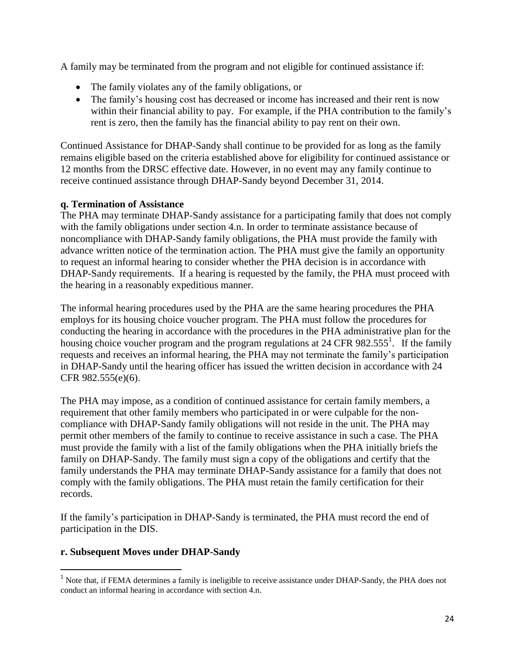A family may be terminated from the program and not eligible for continued assistance if:

- The family violates any of the family obligations, or
- The family's housing cost has decreased or income has increased and their rent is now within their financial ability to pay. For example, if the PHA contribution to the family's rent is zero, then the family has the financial ability to pay rent on their own.

Continued Assistance for DHAP-Sandy shall continue to be provided for as long as the family remains eligible based on the criteria established above for eligibility for continued assistance or 12 months from the DRSC effective date. However, in no event may any family continue to receive continued assistance through DHAP-Sandy beyond December 31, 2014.

# **q. Termination of Assistance**

The PHA may terminate DHAP-Sandy assistance for a participating family that does not comply with the family obligations under section 4.n. In order to terminate assistance because of noncompliance with DHAP-Sandy family obligations, the PHA must provide the family with advance written notice of the termination action. The PHA must give the family an opportunity to request an informal hearing to consider whether the PHA decision is in accordance with DHAP-Sandy requirements. If a hearing is requested by the family, the PHA must proceed with the hearing in a reasonably expeditious manner.

The informal hearing procedures used by the PHA are the same hearing procedures the PHA employs for its housing choice voucher program. The PHA must follow the procedures for conducting the hearing in accordance with the procedures in the PHA administrative plan for the housing choice voucher program and the program regulations at 24 CFR 982.555<sup>1</sup>. If the family requests and receives an informal hearing, the PHA may not terminate the family's participation in DHAP-Sandy until the hearing officer has issued the written decision in accordance with 24 CFR 982.555(e)(6).

The PHA may impose, as a condition of continued assistance for certain family members, a requirement that other family members who participated in or were culpable for the noncompliance with DHAP-Sandy family obligations will not reside in the unit. The PHA may permit other members of the family to continue to receive assistance in such a case. The PHA must provide the family with a list of the family obligations when the PHA initially briefs the family on DHAP-Sandy. The family must sign a copy of the obligations and certify that the family understands the PHA may terminate DHAP-Sandy assistance for a family that does not comply with the family obligations. The PHA must retain the family certification for their records.

If the family's participation in DHAP-Sandy is terminated, the PHA must record the end of participation in the DIS.

# **r. Subsequent Moves under DHAP-Sandy**

l

<sup>&</sup>lt;sup>1</sup> Note that, if FEMA determines a family is ineligible to receive assistance under DHAP-Sandy, the PHA does not conduct an informal hearing in accordance with section 4.n.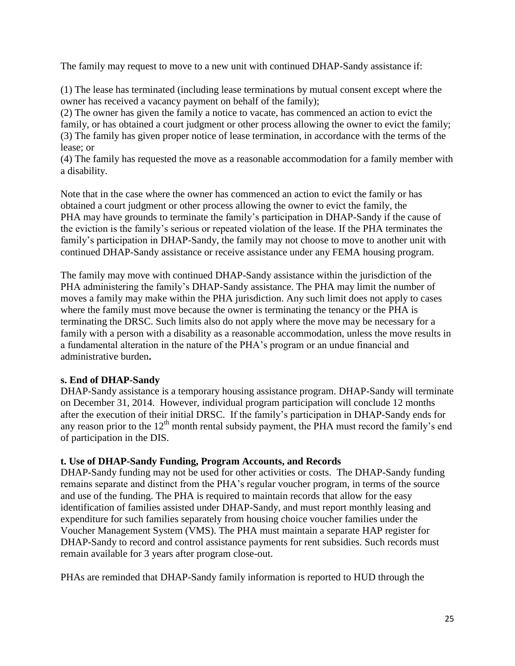The family may request to move to a new unit with continued DHAP-Sandy assistance if:

(1) The lease has terminated (including lease terminations by mutual consent except where the owner has received a vacancy payment on behalf of the family);

(2) The owner has given the family a notice to vacate, has commenced an action to evict the family, or has obtained a court judgment or other process allowing the owner to evict the family; (3) The family has given proper notice of lease termination, in accordance with the terms of the lease; or

(4) The family has requested the move as a reasonable accommodation for a family member with a disability.

Note that in the case where the owner has commenced an action to evict the family or has obtained a court judgment or other process allowing the owner to evict the family, the PHA may have grounds to terminate the family's participation in DHAP-Sandy if the cause of the eviction is the family's serious or repeated violation of the lease. If the PHA terminates the family's participation in DHAP-Sandy, the family may not choose to move to another unit with continued DHAP-Sandy assistance or receive assistance under any FEMA housing program.

The family may move with continued DHAP-Sandy assistance within the jurisdiction of the PHA administering the family's DHAP-Sandy assistance. The PHA may limit the number of moves a family may make within the PHA jurisdiction. Any such limit does not apply to cases where the family must move because the owner is terminating the tenancy or the PHA is terminating the DRSC. Such limits also do not apply where the move may be necessary for a family with a person with a disability as a reasonable accommodation, unless the move results in a fundamental alteration in the nature of the PHA's program or an undue financial and administrative burden**.**

# **s. End of DHAP-Sandy**

DHAP-Sandy assistance is a temporary housing assistance program. DHAP-Sandy will terminate on December 31, 2014. However, individual program participation will conclude 12 months after the execution of their initial DRSC. If the family's participation in DHAP-Sandy ends for any reason prior to the  $12<sup>th</sup>$  month rental subsidy payment, the PHA must record the family's end of participation in the DIS.

# **t. Use of DHAP-Sandy Funding, Program Accounts, and Records**

DHAP-Sandy funding may not be used for other activities or costs. The DHAP-Sandy funding remains separate and distinct from the PHA's regular voucher program, in terms of the source and use of the funding. The PHA is required to maintain records that allow for the easy identification of families assisted under DHAP-Sandy, and must report monthly leasing and expenditure for such families separately from housing choice voucher families under the Voucher Management System (VMS). The PHA must maintain a separate HAP register for DHAP-Sandy to record and control assistance payments for rent subsidies. Such records must remain available for 3 years after program close-out.

PHAs are reminded that DHAP-Sandy family information is reported to HUD through the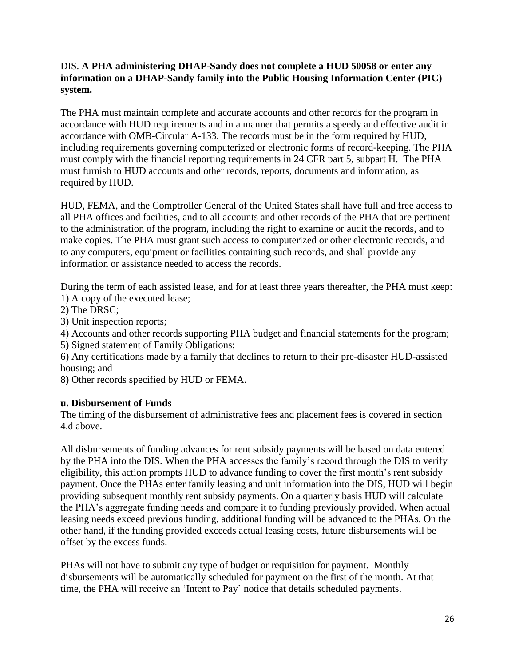# DIS. **A PHA administering DHAP-Sandy does not complete a HUD 50058 or enter any information on a DHAP-Sandy family into the Public Housing Information Center (PIC) system.**

The PHA must maintain complete and accurate accounts and other records for the program in accordance with HUD requirements and in a manner that permits a speedy and effective audit in accordance with OMB-Circular A-133. The records must be in the form required by HUD, including requirements governing computerized or electronic forms of record-keeping. The PHA must comply with the financial reporting requirements in 24 CFR part 5, subpart H. The PHA must furnish to HUD accounts and other records, reports, documents and information, as required by HUD.

HUD, FEMA, and the Comptroller General of the United States shall have full and free access to all PHA offices and facilities, and to all accounts and other records of the PHA that are pertinent to the administration of the program, including the right to examine or audit the records, and to make copies. The PHA must grant such access to computerized or other electronic records, and to any computers, equipment or facilities containing such records, and shall provide any information or assistance needed to access the records.

During the term of each assisted lease, and for at least three years thereafter, the PHA must keep: 1) A copy of the executed lease;

- 2) The DRSC;
- 3) Unit inspection reports;

4) Accounts and other records supporting PHA budget and financial statements for the program;

5) Signed statement of Family Obligations;

6) Any certifications made by a family that declines to return to their pre-disaster HUD-assisted housing; and

8) Other records specified by HUD or FEMA.

# **u. Disbursement of Funds**

The timing of the disbursement of administrative fees and placement fees is covered in section 4.d above.

All disbursements of funding advances for rent subsidy payments will be based on data entered by the PHA into the DIS. When the PHA accesses the family's record through the DIS to verify eligibility, this action prompts HUD to advance funding to cover the first month's rent subsidy payment. Once the PHAs enter family leasing and unit information into the DIS, HUD will begin providing subsequent monthly rent subsidy payments. On a quarterly basis HUD will calculate the PHA's aggregate funding needs and compare it to funding previously provided. When actual leasing needs exceed previous funding, additional funding will be advanced to the PHAs. On the other hand, if the funding provided exceeds actual leasing costs, future disbursements will be offset by the excess funds.

PHAs will not have to submit any type of budget or requisition for payment. Monthly disbursements will be automatically scheduled for payment on the first of the month. At that time, the PHA will receive an 'Intent to Pay' notice that details scheduled payments.